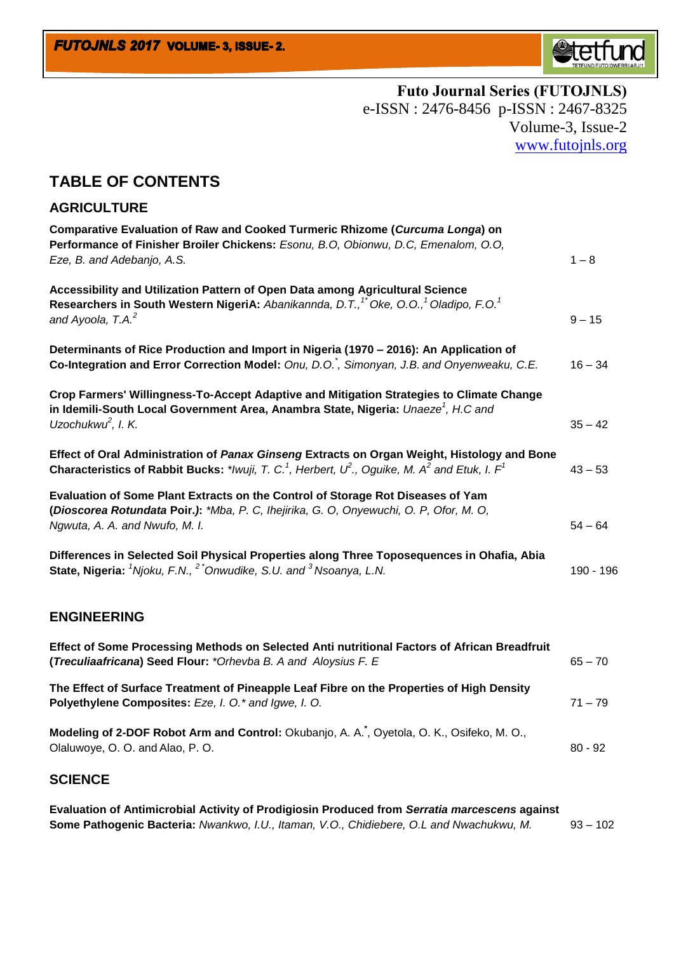

**Futo Journal Series (FUTOJNLS)** e-ISSN : 2476-8456 p-ISSN : 2467-8325 Volume-3, Issue-2 [www.futojnls.org](http://www.futojnls.org/)

## **TABLE OF CONTENTS**

## **AGRICULTURE**

| Comparative Evaluation of Raw and Cooked Turmeric Rhizome (Curcuma Longa) on<br>Performance of Finisher Broiler Chickens: Esonu, B.O, Obionwu, D.C, Emenalom, O.O,<br>Eze, B. and Adebanjo, A.S.                                            | $1 - 8$   |
|---------------------------------------------------------------------------------------------------------------------------------------------------------------------------------------------------------------------------------------------|-----------|
|                                                                                                                                                                                                                                             |           |
| Accessibility and Utilization Pattern of Open Data among Agricultural Science<br>Researchers in South Western NigeriA: Abanikannda, D.T., <sup>1*</sup> Oke, O.O., <sup>1</sup> Oladipo, F.O. <sup>1</sup><br>and Ayoola, $T.A.^2$          | $9 - 15$  |
| Determinants of Rice Production and Import in Nigeria (1970 - 2016): An Application of<br>Co-Integration and Error Correction Model: Onu, D.O., Simonyan, J.B. and Onyenweaku, C.E.                                                         | $16 - 34$ |
| Crop Farmers' Willingness-To-Accept Adaptive and Mitigation Strategies to Climate Change<br>in Idemili-South Local Government Area, Anambra State, Nigeria: Unaeze <sup>1</sup> , H.C and<br>Uzochukwu $^2$ , I. K.                         | $35 - 42$ |
| Effect of Oral Administration of Panax Ginseng Extracts on Organ Weight, Histology and Bone<br><b>Characteristics of Rabbit Bucks:</b> */wuji, T. C. <sup>1</sup> , Herbert, $U^2$ ., Oguike, M. A <sup>2</sup> and Etuk, I. F <sup>1</sup> | $43 - 53$ |
| Evaluation of Some Plant Extracts on the Control of Storage Rot Diseases of Yam<br>(Dioscorea Rotundata Poir.): *Mba, P. C, Ihejirika, G. O, Onyewuchi, O. P, Ofor, M. O,<br>Ngwuta, A. A. and Nwufo, M. I.                                 | $54 - 64$ |
| Differences in Selected Soil Physical Properties along Three Toposequences in Ohafia, Abia<br>State, Nigeria: <sup>1</sup> Njoku, F.N., <sup>2</sup> *Onwudike, S.U. and <sup>3</sup> Nsoanya, L.N.                                         | 190 - 196 |
| <b>ENGINEERING</b>                                                                                                                                                                                                                          |           |
| Effect of Some Processing Methods on Selected Anti nutritional Factors of African Breadfruit<br>(Treculiaafricana) Seed Flour: * Orhevba B. A and Aloysius F. E                                                                             | $65 - 70$ |
| The Effect of Surface Treatment of Pineapple Leaf Fibre on the Properties of High Density<br>Polyethylene Composites: Eze, I. O.* and Igwe, I. O.                                                                                           | $71 - 79$ |
| Modeling of 2-DOF Robot Arm and Control: Okubanjo, A. A. T, Oyetola, O. K., Osifeko, M. O.,<br>Olaluwoye, O. O. and Alao, P. O.                                                                                                             | $80 - 92$ |

## **SCIENCE**

**Evaluation of Antimicrobial Activity of Prodigiosin Produced from** *Serratia marcescens* **against**  Some Pathogenic Bacteria: Nwankwo, I.U., Itaman, V.O., Chidiebere, O.L and Nwachukwu, M. 93 - 102